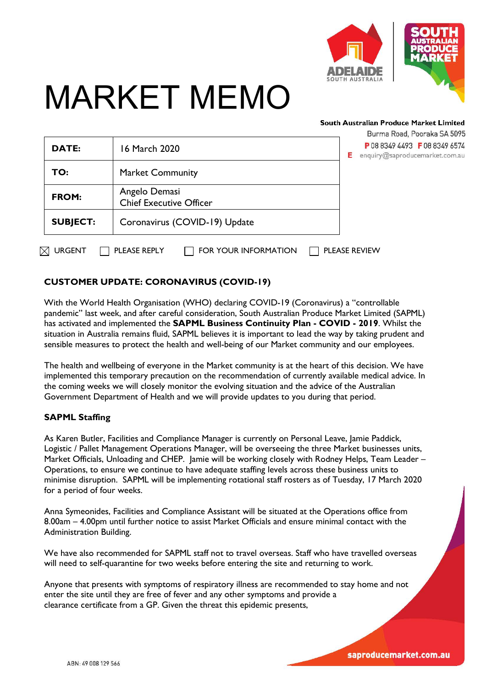

# MARKET MEMO

#### South Australian Produce Market Limited

|                    |                                                 | Burma Road, Pooraka SA 5095                                          |
|--------------------|-------------------------------------------------|----------------------------------------------------------------------|
| <b>DATE:</b>       | 16 March 2020                                   | P 08 8349 4493 F 08 8349 6574<br>Е<br>enquiry@saproducemarket.com.au |
| TO:                | <b>Market Community</b>                         |                                                                      |
| <b>FROM:</b>       | Angelo Demasi<br><b>Chief Executive Officer</b> |                                                                      |
| <b>SUBJECT:</b>    | Coronavirus (COVID-19) Update                   |                                                                      |
| 对<br><b>URGENT</b> | PLEASE REPLY<br>FOR YOUR INFORMATION            | <b>PLEASE REVIEW</b>                                                 |

## **CUSTOMER UPDATE: CORONAVIRUS (COVID-19)**

With the World Health Organisation (WHO) declaring COVID-19 (Coronavirus) a "controllable pandemic" last week, and after careful consideration, South Australian Produce Market Limited (SAPML) has activated and implemented the **SAPML Business Continuity Plan - COVID - 2019**. Whilst the situation in Australia remains fluid, SAPML believes it is important to lead the way by taking prudent and sensible measures to protect the health and well-being of our Market community and our employees.

The health and wellbeing of everyone in the Market community is at the heart of this decision. We have implemented this temporary precaution on the recommendation of currently available medical advice. In the coming weeks we will closely monitor the evolving situation and the advice of the Australian Government Department of Health and we will provide updates to you during that period.

#### **SAPML Staffing**

ſ

As Karen Butler, Facilities and Compliance Manager is currently on Personal Leave, Jamie Paddick, Logistic / Pallet Management Operations Manager, will be overseeing the three Market businesses units, Market Officials, Unloading and CHEP. Jamie will be working closely with Rodney Helps, Team Leader – Operations, to ensure we continue to have adequate staffing levels across these business units to minimise disruption. SAPML will be implementing rotational staff rosters as of Tuesday, 17 March 2020 for a period of four weeks.

Anna Symeonides, Facilities and Compliance Assistant will be situated at the Operations office from 8.00am – 4.00pm until further notice to assist Market Officials and ensure minimal contact with the Administration Building.

We have also recommended for SAPML staff not to travel overseas. Staff who have travelled overseas will need to self-quarantine for two weeks before entering the site and returning to work.

Anyone that presents with symptoms of respiratory illness are recommended to stay home and not enter the site until they are free of fever and any other symptoms and provide a clearance certificate from a GP. Given the threat this epidemic presents,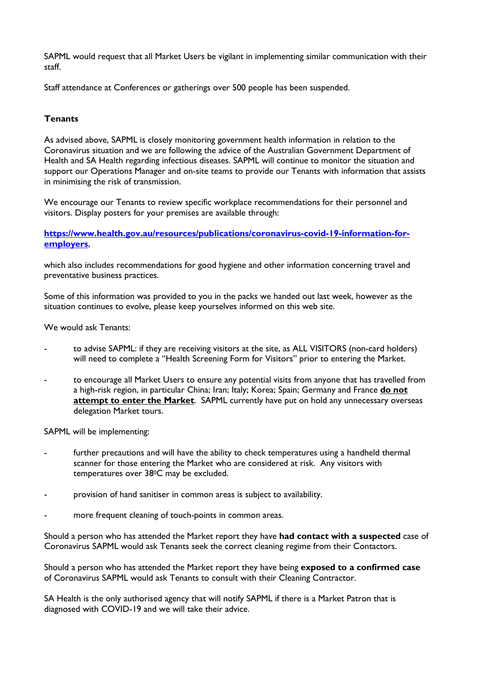SAPML would request that all Market Users be vigilant in implementing similar communication with their staff.

Staff attendance at Conferences or gatherings over 500 people has been suspended.

### **Tenants**

As advised above, SAPML is closely monitoring government health information in relation to the Coronavirus situation and we are following the advice of the Australian Government Department of Health and SA Health regarding infectious diseases. SAPML will continue to monitor the situation and support our Operations Manager and on-site teams to provide our Tenants with information that assists in minimising the risk of transmission.

We encourage our Tenants to review specific workplace recommendations for their personnel and visitors. Display posters for your premises are available through:

**[https://www.health.gov.au/resources/publications/coronavirus-covid-19-information-for](https://www.health.gov.au/resources/publications/coronavirus-covid-19-information-for-employers)[employers](https://www.health.gov.au/resources/publications/coronavirus-covid-19-information-for-employers)**,

which also includes recommendations for good hygiene and other information concerning travel and preventative business practices.

Some of this information was provided to you in the packs we handed out last week, however as the situation continues to evolve, please keep yourselves informed on this web site.

We would ask Tenants:

- to advise SAPML: if they are receiving visitors at the site, as ALL VISITORS (non-card holders) will need to complete a "Health Screening Form for Visitors" prior to entering the Market.
- to encourage all Market Users to ensure any potential visits from anyone that has travelled from a high-risk region, in particular China; Iran; Italy; Korea; Spain; Germany and France **do not attempt to enter the Market**. SAPML currently have put on hold any unnecessary overseas delegation Market tours.

SAPML will be implementing:

- further precautions and will have the ability to check temperatures using a handheld thermal scanner for those entering the Market who are considered at risk. Any visitors with temperatures over 380C may be excluded.
- provision of hand sanitiser in common areas is subject to availability.
- more frequent cleaning of touch-points in common areas.

Should a person who has attended the Market report they have **had contact with a suspected** case of Coronavirus SAPML would ask Tenants seek the correct cleaning regime from their Contactors.

Should a person who has attended the Market report they have being **exposed to a confirmed case** of Coronavirus SAPML would ask Tenants to consult with their Cleaning Contractor.

SA Health is the only authorised agency that will notify SAPML if there is a Market Patron that is diagnosed with COVID-19 and we will take their advice.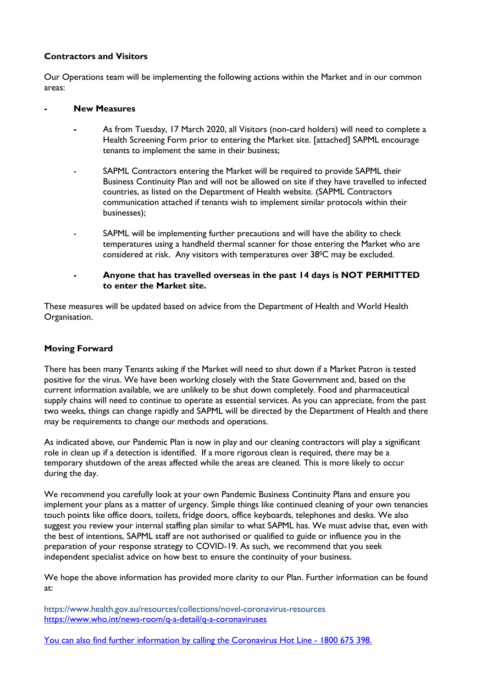### **Contractors and Visitors**

Our Operations team will be implementing the following actions within the Market and in our common areas:

#### **- New Measures**

- **-** As from Tuesday, 17 March 2020, all Visitors (non-card holders) will need to complete a Health Screening Form prior to entering the Market site. [attached] SAPML encourage tenants to implement the same in their business;
- SAPML Contractors entering the Market will be required to provide SAPML their Business Continuity Plan and will not be allowed on site if they have travelled to infected countries, as listed on the Department of Health website. (SAPML Contractors communication attached if tenants wish to implement similar protocols within their businesses);
- SAPML will be implementing further precautions and will have the ability to check temperatures using a handheld thermal scanner for those entering the Market who are considered at risk. Any visitors with temperatures over 380C may be excluded.
- **- Anyone that has travelled overseas in the past 14 days is NOT PERMITTED to enter the Market site.**

These measures will be updated based on advice from the Department of Health and World Health Organisation.

#### **Moving Forward**

There has been many Tenants asking if the Market will need to shut down if a Market Patron is tested positive for the virus. We have been working closely with the State Government and, based on the current information available, we are unlikely to be shut down completely. Food and pharmaceutical supply chains will need to continue to operate as essential services. As you can appreciate, from the past two weeks, things can change rapidly and SAPML will be directed by the Department of Health and there may be requirements to change our methods and operations.

As indicated above, our Pandemic Plan is now in play and our cleaning contractors will play a significant role in clean up if a detection is identified. If a more rigorous clean is required, there may be a temporary shutdown of the areas affected while the areas are cleaned. This is more likely to occur during the day.

We recommend you carefully look at your own Pandemic Business Continuity Plans and ensure you implement your plans as a matter of urgency. Simple things like continued cleaning of your own tenancies touch points like office doors, toilets, fridge doors, office keyboards, telephones and desks. We also suggest you review your internal staffing plan similar to what SAPML has. We must advise that, even with the best of intentions, SAPML staff are not authorised or qualified to guide or influence you in the preparation of your response strategy to COVID-19. As such, we recommend that you seek independent specialist advice on how best to ensure the continuity of your business.

We hope the above information has provided more clarity to our Plan. Further information can be found at:

https://www.health.gov.au/resources/collections/novel-coronavirus-resources <https://www.who.int/news-room/q-a-detail/q-a-coronaviruses>

You can also find further information by calling the Coronavirus Hot Line - 1800 675 398.